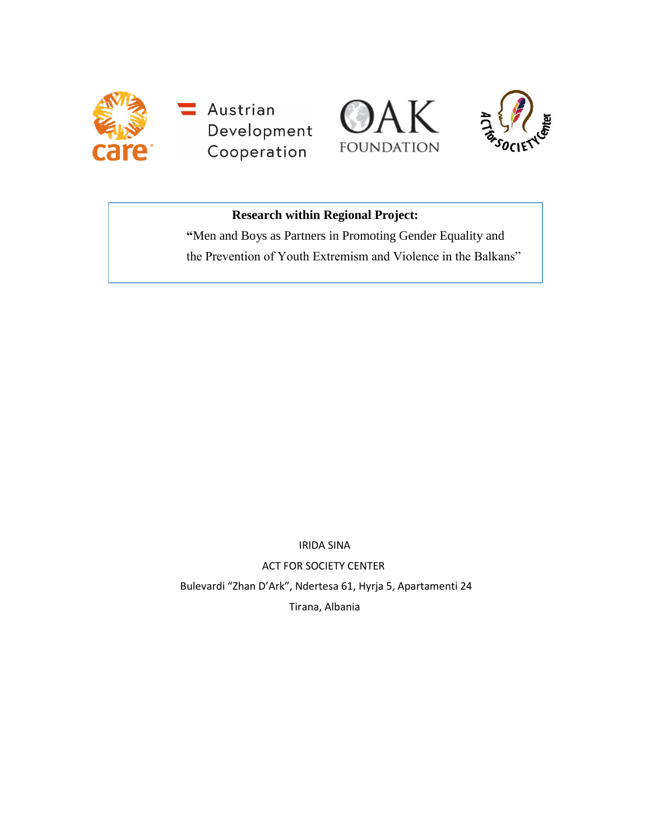

 $\blacksquare$  Austrian Development Cooperation





# **Research within Regional Project:**

 **"**Men and Boys as Partners in Promoting Gender Equality and the Prevention of Youth Extremism and Violence in the Balkans"

IRIDA SINA

ACT FOR SOCIETY CENTER

Bulevardi "Zhan D'Ark", Ndertesa 61, Hyrja 5, Apartamenti 24

Tirana, Albania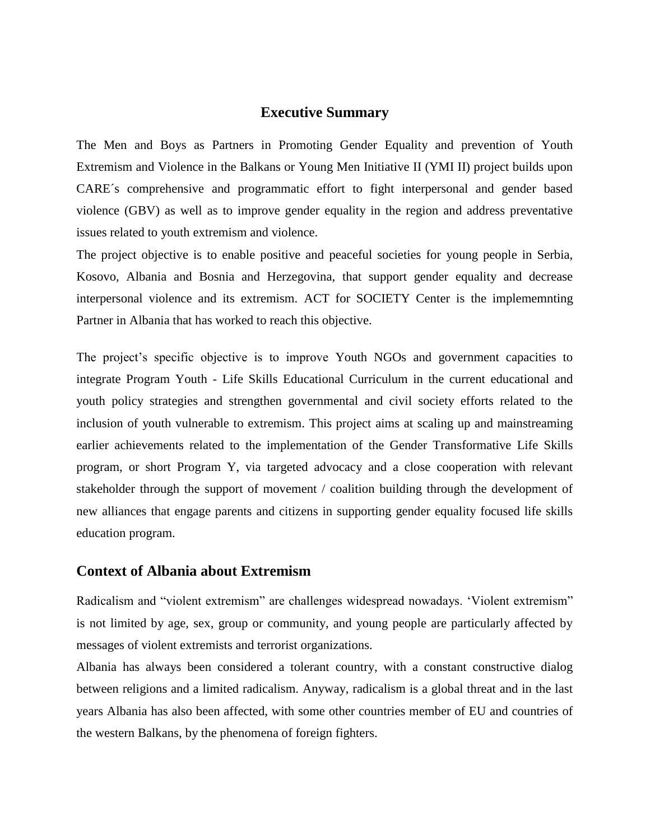### **Executive Summary**

The Men and Boys as Partners in Promoting Gender Equality and prevention of Youth Extremism and Violence in the Balkans or Young Men Initiative II (YMI II) project builds upon CARE´s comprehensive and programmatic effort to fight interpersonal and gender based violence (GBV) as well as to improve gender equality in the region and address preventative issues related to youth extremism and violence.

The project objective is to enable positive and peaceful societies for young people in Serbia, Kosovo, Albania and Bosnia and Herzegovina, that support gender equality and decrease interpersonal violence and its extremism. ACT for SOCIETY Center is the implememnting Partner in Albania that has worked to reach this objective.

The project's specific objective is to improve Youth NGOs and government capacities to integrate Program Youth - Life Skills Educational Curriculum in the current educational and youth policy strategies and strengthen governmental and civil society efforts related to the inclusion of youth vulnerable to extremism. This project aims at scaling up and mainstreaming earlier achievements related to the implementation of the Gender Transformative Life Skills program, or short Program Y, via targeted advocacy and a close cooperation with relevant stakeholder through the support of movement / coalition building through the development of new alliances that engage parents and citizens in supporting gender equality focused life skills education program.

## **Context of Albania about Extremism**

Radicalism and "violent extremism" are challenges widespread nowadays. 'Violent extremism'' is not limited by age, sex, group or community, and young people are particularly affected by messages of violent extremists and terrorist organizations.

Albania has always been considered a tolerant country, with a constant constructive dialog between religions and a limited radicalism. Anyway, radicalism is a global threat and in the last years Albania has also been affected, with some other countries member of EU and countries of the western Balkans, by the phenomena of foreign fighters.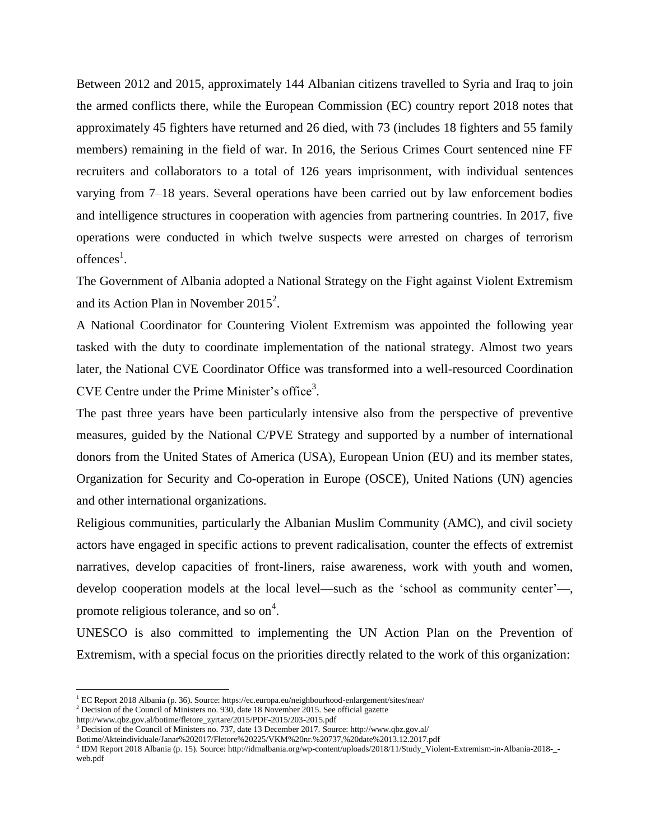Between 2012 and 2015, approximately 144 Albanian citizens travelled to Syria and Iraq to join the armed conflicts there, while the European Commission (EC) country report 2018 notes that approximately 45 fighters have returned and 26 died, with 73 (includes 18 fighters and 55 family members) remaining in the field of war. In 2016, the Serious Crimes Court sentenced nine FF recruiters and collaborators to a total of 126 years imprisonment, with individual sentences varying from 7–18 years. Several operations have been carried out by law enforcement bodies and intelligence structures in cooperation with agencies from partnering countries. In 2017, five operations were conducted in which twelve suspects were arrested on charges of terrorism offences<sup>1</sup>.

The Government of Albania adopted a National Strategy on the Fight against Violent Extremism and its Action Plan in November  $2015^2$ .

A National Coordinator for Countering Violent Extremism was appointed the following year tasked with the duty to coordinate implementation of the national strategy. Almost two years later, the National CVE Coordinator Office was transformed into a well-resourced Coordination CVE Centre under the Prime Minister's office<sup>3</sup>.

The past three years have been particularly intensive also from the perspective of preventive measures, guided by the National C/PVE Strategy and supported by a number of international donors from the United States of America (USA), European Union (EU) and its member states, Organization for Security and Co-operation in Europe (OSCE), United Nations (UN) agencies and other international organizations.

Religious communities, particularly the Albanian Muslim Community (AMC), and civil society actors have engaged in specific actions to prevent radicalisation, counter the effects of extremist narratives, develop capacities of front-liners, raise awareness, work with youth and women, develop cooperation models at the local level—such as the 'school as community center'—, promote religious tolerance, and so on<sup>4</sup>.

UNESCO is also committed to implementing the UN Action Plan on the Prevention of Extremism, with a special focus on the priorities directly related to the work of this organization:

 $\overline{\phantom{a}}$ 

 ${}^{1}$  EC Report 2018 Albania (p. 36). Source: https://ec.europa.eu/neighbourhood-enlargement/sites/near/

<sup>&</sup>lt;sup>2</sup> Decision of the Council of Ministers no. 930, date 18 November 2015. See official gazette

http://www.qbz.gov.al/botime/fletore\_zyrtare/2015/PDF-2015/203-2015.pdf

<sup>&</sup>lt;sup>3</sup> Decision of the Council of Ministers no. 737, date 13 December 2017. Source: http://www.qbz.gov.al/

Botime/Akteindividuale/Janar%202017/Fletore%20225/VKM%20nr.%20737,%20date%2013.12.2017.pdf

<sup>4</sup> IDM Report 2018 Albania (p. 15). Source: http://idmalbania.org/wp-content/uploads/2018/11/Study\_Violent-Extremism-in-Albania-2018-\_ web.pdf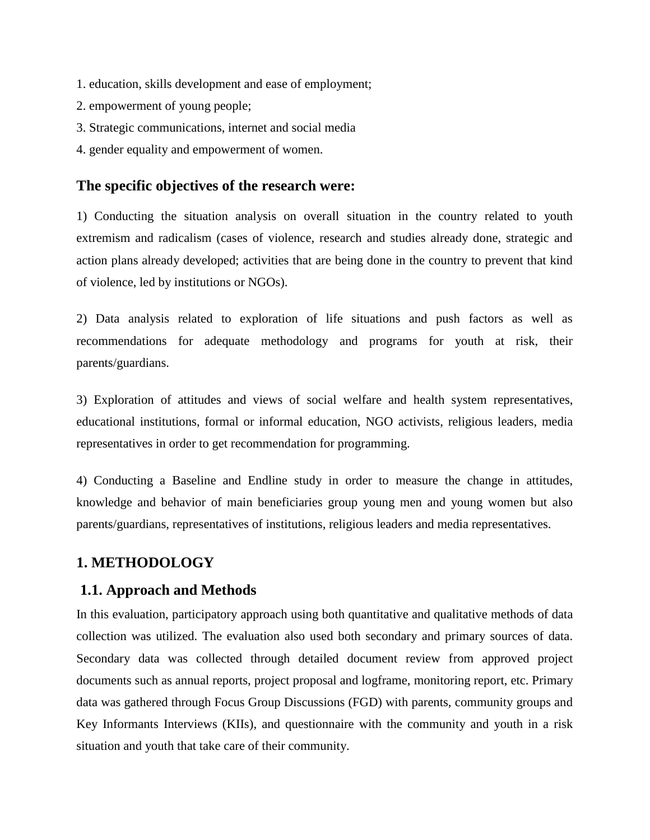1. education, skills development and ease of employment;

- 2. empowerment of young people;
- 3. Strategic communications, internet and social media
- 4. gender equality and empowerment of women.

## **The specific objectives of the research were:**

1) Conducting the situation analysis on overall situation in the country related to youth extremism and radicalism (cases of violence, research and studies already done, strategic and action plans already developed; activities that are being done in the country to prevent that kind of violence, led by institutions or NGOs).

2) Data analysis related to exploration of life situations and push factors as well as recommendations for adequate methodology and programs for youth at risk, their parents/guardians.

3) Exploration of attitudes and views of social welfare and health system representatives, educational institutions, formal or informal education, NGO activists, religious leaders, media representatives in order to get recommendation for programming.

4) Conducting a Baseline and Endline study in order to measure the change in attitudes, knowledge and behavior of main beneficiaries group young men and young women but also parents/guardians, representatives of institutions, religious leaders and media representatives.

## **1. METHODOLOGY**

## **1.1. Approach and Methods**

In this evaluation, participatory approach using both quantitative and qualitative methods of data collection was utilized. The evaluation also used both secondary and primary sources of data. Secondary data was collected through detailed document review from approved project documents such as annual reports, project proposal and logframe, monitoring report, etc. Primary data was gathered through Focus Group Discussions (FGD) with parents, community groups and Key Informants Interviews (KIIs), and questionnaire with the community and youth in a risk situation and youth that take care of their community.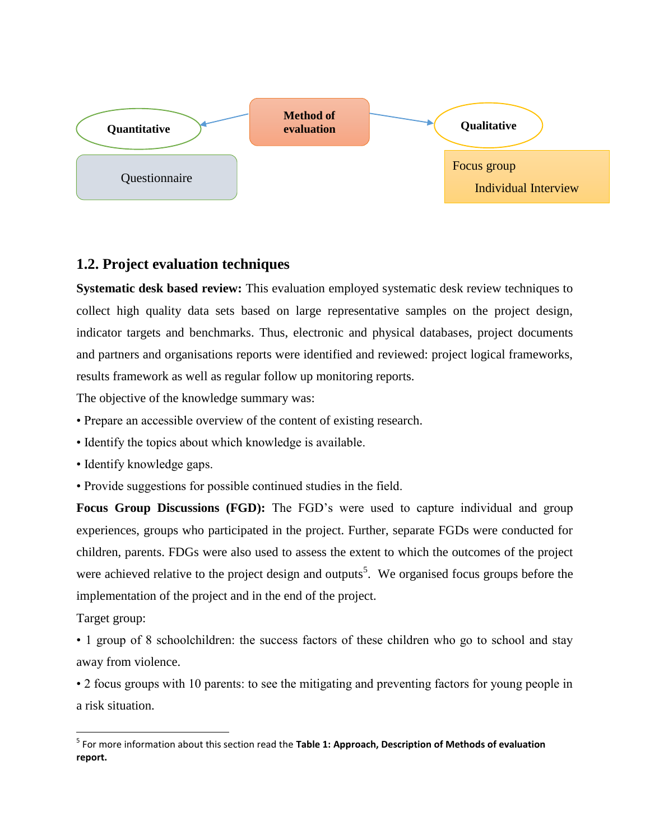

# **1.2. Project evaluation techniques**

**Systematic desk based review:** This evaluation employed systematic desk review techniques to collect high quality data sets based on large representative samples on the project design, indicator targets and benchmarks. Thus, electronic and physical databases, project documents and partners and organisations reports were identified and reviewed: project logical frameworks, results framework as well as regular follow up monitoring reports.

The objective of the knowledge summary was:

- Prepare an accessible overview of the content of existing research.
- Identify the topics about which knowledge is available.
- Identify knowledge gaps.
- Provide suggestions for possible continued studies in the field.

**Focus Group Discussions (FGD):** The FGD's were used to capture individual and group experiences, groups who participated in the project. Further, separate FGDs were conducted for children, parents. FDGs were also used to assess the extent to which the outcomes of the project were achieved relative to the project design and outputs<sup>5</sup>. We organised focus groups before the implementation of the project and in the end of the project.

Target group:

l

• 1 group of 8 schoolchildren: the success factors of these children who go to school and stay away from violence.

• 2 focus groups with 10 parents: to see the mitigating and preventing factors for young people in a risk situation.

<sup>5</sup> For more information about this section read the **Table 1: Approach, Description of Methods of evaluation report.**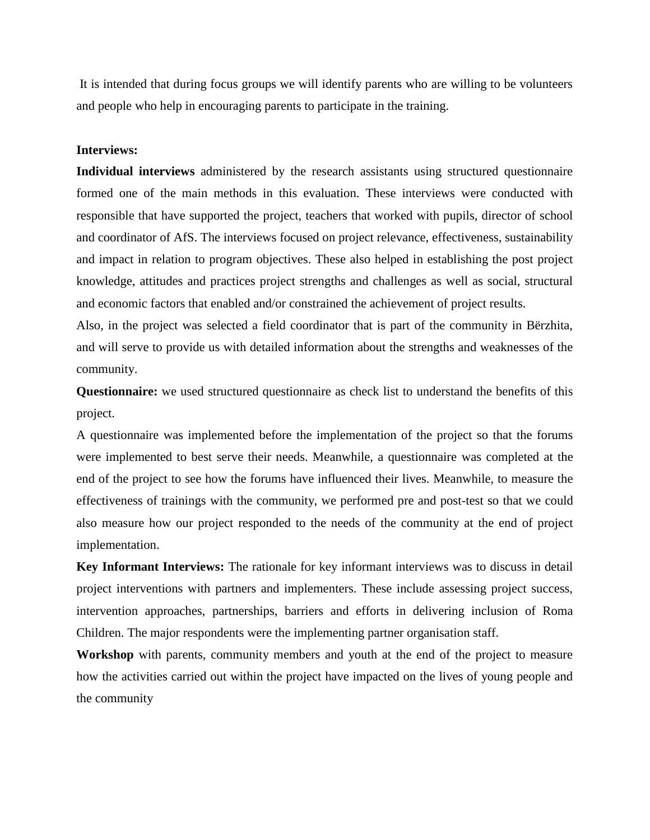It is intended that during focus groups we will identify parents who are willing to be volunteers and people who help in encouraging parents to participate in the training.

#### **Interviews:**

**Individual interviews** administered by the research assistants using structured questionnaire formed one of the main methods in this evaluation. These interviews were conducted with responsible that have supported the project, teachers that worked with pupils, director of school and coordinator of AfS. The interviews focused on project relevance, effectiveness, sustainability and impact in relation to program objectives. These also helped in establishing the post project knowledge, attitudes and practices project strengths and challenges as well as social, structural and economic factors that enabled and/or constrained the achievement of project results.

Also, in the project was selected a field coordinator that is part of the community in Bërzhita, and will serve to provide us with detailed information about the strengths and weaknesses of the community.

**Questionnaire:** we used structured questionnaire as check list to understand the benefits of this project.

A questionnaire was implemented before the implementation of the project so that the forums were implemented to best serve their needs. Meanwhile, a questionnaire was completed at the end of the project to see how the forums have influenced their lives. Meanwhile, to measure the effectiveness of trainings with the community, we performed pre and post-test so that we could also measure how our project responded to the needs of the community at the end of project implementation.

**Key Informant Interviews:** The rationale for key informant interviews was to discuss in detail project interventions with partners and implementers. These include assessing project success, intervention approaches, partnerships, barriers and efforts in delivering inclusion of Roma Children. The major respondents were the implementing partner organisation staff.

**Workshop** with parents, community members and youth at the end of the project to measure how the activities carried out within the project have impacted on the lives of young people and the community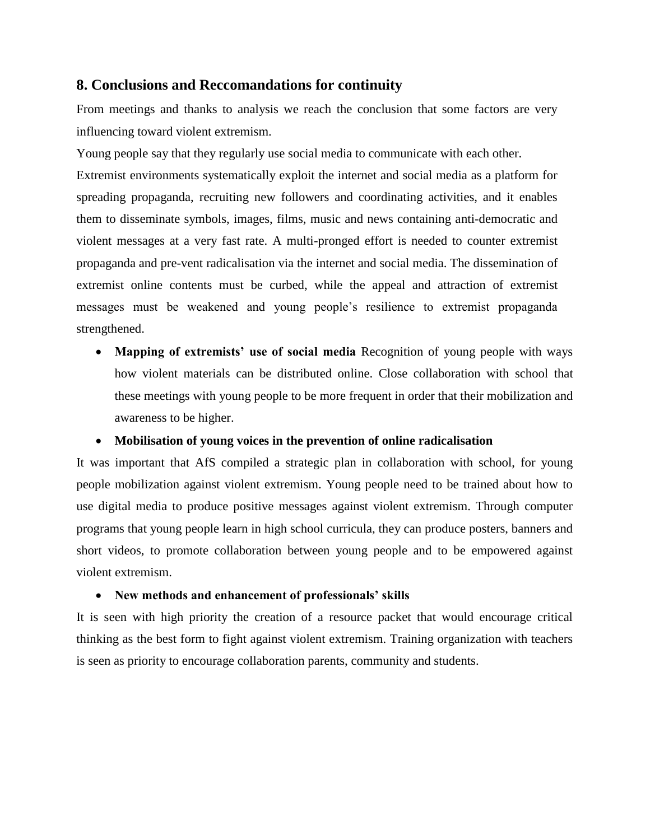# **8. Conclusions and Reccomandations for continuity**

From meetings and thanks to analysis we reach the conclusion that some factors are very influencing toward violent extremism.

Young people say that they regularly use social media to communicate with each other.

Extremist environments systematically exploit the internet and social media as a platform for spreading propaganda, recruiting new followers and coordinating activities, and it enables them to disseminate symbols, images, films, music and news containing anti-democratic and violent messages at a very fast rate. A multi-pronged effort is needed to counter extremist propaganda and pre-vent radicalisation via the internet and social media. The dissemination of extremist online contents must be curbed, while the appeal and attraction of extremist messages must be weakened and young people's resilience to extremist propaganda strengthened.

 **Mapping of extremists' use of social media** Recognition of young people with ways how violent materials can be distributed online. Close collaboration with school that these meetings with young people to be more frequent in order that their mobilization and awareness to be higher.

## **Mobilisation of young voices in the prevention of online radicalisation**

It was important that AfS compiled a strategic plan in collaboration with school, for young people mobilization against violent extremism. Young people need to be trained about how to use digital media to produce positive messages against violent extremism. Through computer programs that young people learn in high school curricula, they can produce posters, banners and short videos, to promote collaboration between young people and to be empowered against violent extremism.

## **New methods and enhancement of professionals' skills**

It is seen with high priority the creation of a resource packet that would encourage critical thinking as the best form to fight against violent extremism. Training organization with teachers is seen as priority to encourage collaboration parents, community and students.